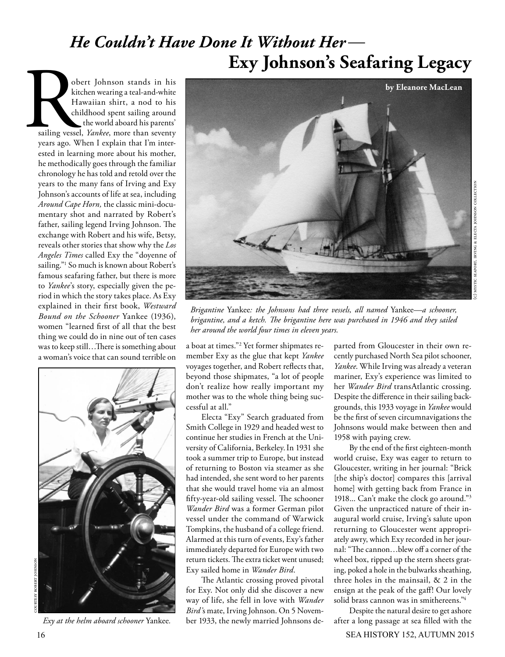## *He Couldn't Have Done It Without Her*— **Exy Johnson's Seafaring Legacy**

obert Johnson stands in his kitchen wearing a teal-and-white Hawaiian shirt, a nod to his childhood spent sailing around the world aboard his parents' sailing vessel, *Yankee*, more than seventy years ago. When I explain that I'm interested in learning more about his mother, he methodically goes through the familiar chronology he has told and retold over the years to the many fans of Irving and Exy Johnson's accounts of life at sea, including *Around Cape Horn,* the classic mini-documentary shot and narrated by Robert's father, sailing legend Irving Johnson. The exchange with Robert and his wife, Betsy, reveals other stories that show why the *Los Angeles Times* called Exy the "doyenne of sailing."1 So much is known about Robert's famous seafaring father, but there is more to *Yankee*'s story, especially given the period in which the story takes place. As Exy explained in their first book, *Westward Bound on the Schooner* Yankee (1936), women "learned first of all that the best thing we could do in nine out of ten cases was to keep still…There is something about a woman's voice that can sound terrible on ot<br>
kit<br>
H<br>
ch<br>
sailing vesse<br>
years ago. W



*Exy at the helm aboard schooner* Yankee*.*



*Brigantine* Yankee*: the Johnsons had three vessels, all named* Yankee*—a schooner, brigantine, and a ketch. The brigantine here was purchased in 1946 and they sailed her around the world four times in eleven years.*

a boat at times."2 Yet former shipmates remember Exy as the glue that kept *Yankee*  voyages together, and Robert reflects that, beyond those shipmates, "a lot of people don't realize how really important my mother was to the whole thing being successful at all."

Electa "Exy" Search graduated from Smith College in 1929 and headed west to continue her studies in French at the University of California, Berkeley.In 1931 she took a summer trip to Europe, but instead of returning to Boston via steamer as she had intended, she sent word to her parents that she would travel home via an almost fifty-year-old sailing vessel. The schooner *Wander Bird* was a former German pilot vessel under the command of Warwick Tompkins, the husband of a college friend. Alarmed at this turn of events, Exy's father immediately departed for Europe with two return tickets. The extra ticket went unused; Exy sailed home in *Wander Bird*.

The Atlantic crossing proved pivotal for Exy. Not only did she discover a new way of life, she fell in love with *Wander Bird'*s mate, Irving Johnson. On 5 November 1933, the newly married Johnsons de-

parted from Gloucester in their own recently purchased North Sea pilot schooner, *Yankee*. While Irving was already a veteran mariner, Exy's experience was limited to her *Wander Bird* transAtlantic crossing. Despite the difference in their sailing backgrounds, this 1933 voyage in *Yankee* would be the first of seven circumnavigations the Johnsons would make between then and 1958 with paying crew.

By the end of the first eighteen-month world cruise, Exy was eager to return to Gloucester, writing in her journal: "Brick [the ship's doctor] compares this [arrival home] with getting back from France in 1918... Can't make the clock go around."3 Given the unpracticed nature of their inaugural world cruise, Irving's salute upon returning to Gloucester went appropriately awry, which Exy recorded in her journal: "The cannon…blew off a corner of the wheel box, ripped up the stern sheets grating, poked a hole in the bulwarks sheathing, three holes in the mainsail, & 2 in the ensign at the peak of the gaff! Our lovely solid brass cannon was in smithereens."4

Despite the natural desire to get ashore after a long passage at sea filled with the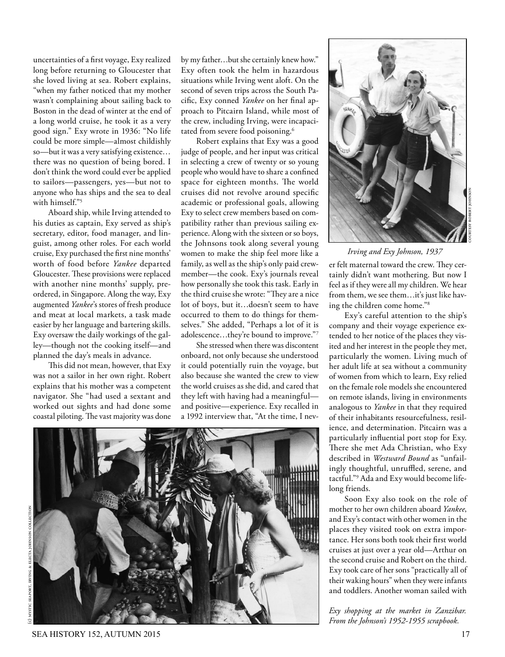uncertainties of a first voyage, Exy realized long before returning to Gloucester that she loved living at sea. Robert explains, "when my father noticed that my mother wasn't complaining about sailing back to Boston in the dead of winter at the end of a long world cruise, he took it as a very good sign." Exy wrote in 1936: "No life could be more simple—almost childishly so—but it was a very satisfying existence… there was no question of being bored. I don't think the word could ever be applied to sailors—passengers, yes—but not to anyone who has ships and the sea to deal with himself."5

Aboard ship, while Irving attended to his duties as captain, Exy served as ship's secretary, editor, food manager, and linguist, among other roles. For each world cruise, Exy purchased the first nine months' worth of food before *Yankee* departed Gloucester. These provisions were replaced with another nine months' supply, preordered, in Singapore. Along the way, Exy augmented *Yankee*'s stores of fresh produce and meat at local markets, a task made easier by her language and bartering skills. Exy oversaw the daily workings of the galley—though not the cooking itself—and planned the day's meals in advance.

This did not mean, however, that Exy was not a sailor in her own right. Robert explains that his mother was a competent navigator. She "had used a sextant and worked out sights and had done some coastal piloting. The vast majority was done by my father…but she certainly knew how." Exy often took the helm in hazardous situations while Irving went aloft. On the second of seven trips across the South Pacific, Exy conned *Yankee* on her final approach to Pitcairn Island, while most of the crew, including Irving, were incapacitated from severe food poisoning.<sup>6</sup>

Robert explains that Exy was a good judge of people, and her input was critical in selecting a crew of twenty or so young people who would have to share a confined space for eighteen months. The world cruises did not revolve around specific academic or professional goals, allowing Exy to select crew members based on compatibility rather than previous sailing experience. Along with the sixteen or so boys, the Johnsons took along several young women to make the ship feel more like a family, as well as the ship's only paid crewmember—the cook. Exy's journals reveal how personally she took this task. Early in the third cruise she wrote: "They are a nice lot of boys, but it…doesn't seem to have occurred to them to do things for themselves." She added, "Perhaps a lot of it is adolescence…they're bound to improve."7

She stressed when there was discontent onboard, not only because she understood it could potentially ruin the voyage, but also because she wanted the crew to view the world cruises as she did, and cared that they left with having had a meaningful and positive—experience. Exy recalled in a 1992 interview that, "At the time, I nev-





## *Irving and Exy Johnson, 1937*

er felt maternal toward the crew. They certainly didn't want mothering. But now I feel as if they were all my children. We hear from them, we see them…it's just like having the children come home."8

Exy's careful attention to the ship's company and their voyage experience extended to her notice of the places they visited and her interest in the people they met, particularly the women. Living much of her adult life at sea without a community of women from which to learn, Exy relied on the female role models she encountered on remote islands, living in environments analogous to *Yankee* in that they required of their inhabitants resourcefulness, resilience, and determination. Pitcairn was a particularly influential port stop for Exy. There she met Ada Christian, who Exy described in *Westward Bound* as "unfailingly thoughtful, unruffled, serene, and tactful."9 Ada and Exy would become lifelong friends.

Soon Exy also took on the role of mother to her own children aboard *Yankee*, and Exy's contact with other women in the places they visited took on extra importance. Her sons both took their first world cruises at just over a year old—Arthur on the second cruise and Robert on the third. Exy took care of her sons "practically all of their waking hours" when they were infants and toddlers. Another woman sailed with

*Exy shopping at the market in Zanzibar. From the Johnson's 1952-1955 scrapbook.*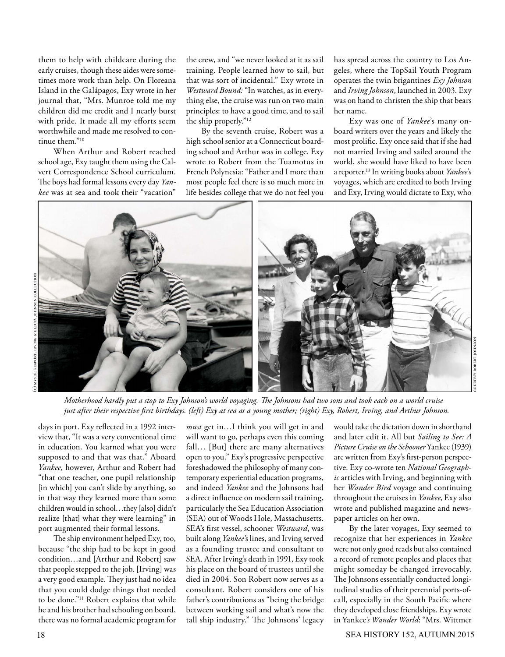them to help with childcare during the early cruises, though these aides were sometimes more work than help. On Floreana Island in the Galápagos, Exy wrote in her journal that, "Mrs. Munroe told me my children did me credit and I nearly burst with pride. It made all my efforts seem worthwhile and made me resolved to continue them."10

When Arthur and Robert reached school age, Exy taught them using the Calvert Correspondence School curriculum. The boys had formal lessons every day *Yankee* was at sea and took their "vacation"

the crew, and "we never looked at it as sail training. People learned how to sail, but that was sort of incidental." Exy wrote in *Westward Bound:* "In watches, as in everything else, the cruise was run on two main principles: to have a good time, and to sail the ship properly."12

By the seventh cruise, Robert was a high school senior at a Connecticut boarding school and Arthur was in college. Exy wrote to Robert from the Tuamotus in French Polynesia: "Father and I more than most people feel there is so much more in life besides college that we do not feel you

has spread across the country to Los Angeles, where the TopSail Youth Program operates the twin brigantines *Exy Johnson*  and *Irving Johnson*, launched in 2003. Exy was on hand to christen the ship that bears her name.

Exy was one of *Yankee*'s many onboard writers over the years and likely the most prolific. Exy once said that if she had not married Irving and sailed around the world, she would have liked to have been a reporter.13 In writing books about *Yankee*'s voyages, which are credited to both Irving and Exy, Irving would dictate to Exy, who



*Motherhood hardly put a stop to Exy Johnson's world voyaging. The Johnsons had two sons and took each on a world cruise just after their respective first birthdays. (left) Exy at sea as a young mother; (right) Exy, Robert, Irving, and Arthur Johnson.* 

days in port. Exy reflected in a 1992 interview that, "It was a very conventional time in education. You learned what you were supposed to and that was that." Aboard *Yankee,* however, Arthur and Robert had "that one teacher, one pupil relationship [in which] you can't slide by anything, so in that way they learned more than some children would in school…they [also] didn't realize [that] what they were learning" in port augmented their formal lessons.

The ship environment helped Exy, too, because "the ship had to be kept in good condition…and [Arthur and Robert] saw that people stepped to the job. [Irving] was a very good example. They just had no idea that you could dodge things that needed to be done."11 Robert explains that while he and his brother had schooling on board, there was no formal academic program for

*must* get in…I think you will get in and will want to go, perhaps even this coming fall… [But] there are many alternatives open to you." Exy's progressive perspective foreshadowed the philosophy of many contemporary experiential education programs, and indeed *Yankee* and the Johnsons had a direct influence on modern sail training, particularly the Sea Education Association (SEA) out of Woods Hole, Massachusetts. SEA's first vessel, schooner *Westward*, was built along *Yankee'*s lines, and Irving served as a founding trustee and consultant to SEA. After Irving's death in 1991, Exy took his place on the board of trustees until she died in 2004. Son Robert now serves as a consultant. Robert considers one of his father's contributions as "being the bridge between working sail and what's now the tall ship industry." The Johnsons' legacy

would take the dictation down in shorthand and later edit it. All but *Sailing to See: A Picture Cruise on the Schooner* Yankee (1939) are written from Exy's first-person perspective. Exy co-wrote ten *National Geographic* articles with Irving, and beginning with her *Wander Bird* voyage and continuing throughout the cruises in *Yankee*, Exy also wrote and published magazine and newspaper articles on her own.

courtesy robert johnson

By the later voyages, Exy seemed to recognize that her experiences in *Yankee*  were not only good reads but also contained a record of remote peoples and places that might someday be changed irrevocably. The Johnsons essentially conducted longitudinal studies of their perennial ports-ofcall, especially in the South Pacific where they developed close friendships. Exy wrote in Yankee*'s Wander World*: "Mrs. Wittmer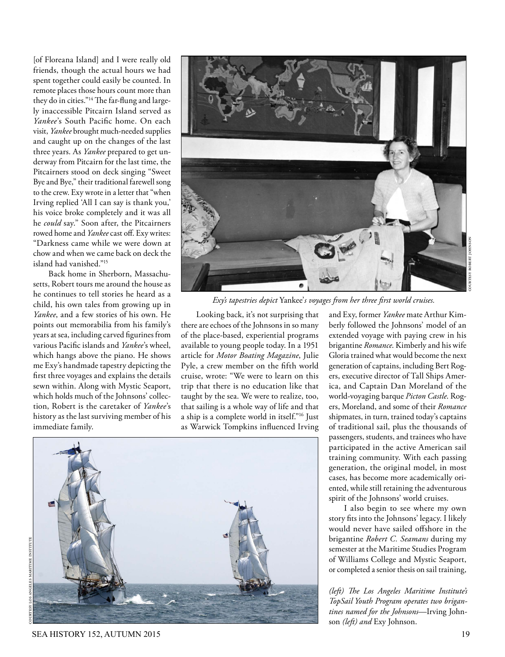[of Floreana Island] and I were really old friends, though the actual hours we had spent together could easily be counted. In remote places those hours count more than they do in cities."14 The far-flung and largely inaccessible Pitcairn Island served as *Yankee*'s South Pacific home. On each visit, *Yankee* brought much-needed supplies and caught up on the changes of the last three years. As *Yankee* prepared to get underway from Pitcairn for the last time, the Pitcairners stood on deck singing "Sweet Bye and Bye," their traditional farewell song to the crew. Exy wrote in a letter that "when Irving replied 'All I can say is thank you,' his voice broke completely and it was all he *could* say." Soon after, the Pitcairners rowed home and *Yankee* cast off. Exy writes: "Darkness came while we were down at chow and when we came back on deck the island had vanished."<sup>15</sup>

Back home in Sherborn, Massachusetts, Robert tours me around the house as he continues to tell stories he heard as a child, his own tales from growing up in *Yankee*, and a few stories of his own. He points out memorabilia from his family's years at sea, including carved figurines from various Pacific islands and *Yankee*'s wheel, which hangs above the piano. He shows me Exy's handmade tapestry depicting the first three voyages and explains the details sewn within. Along with Mystic Seaport, which holds much of the Johnsons' collection, Robert is the caretaker of *Yankee*'s history as the last surviving member of his immediate family.



*Exy's tapestries depict* Yankee'*s voyages from her three first world cruises.*

Looking back, it's not surprising that there are echoes of the Johnsons in so many of the place-based, experiential programs available to young people today. In a 1951 article for *Motor Boating Magazine*, Julie Pyle, a crew member on the fifth world cruise, wrote: "We were to learn on this trip that there is no education like that taught by the sea. We were to realize, too, that sailing is a whole way of life and that a ship is a complete world in itself."16 Just as Warwick Tompkins influenced Irving



and Exy, former *Yankee* mate Arthur Kimberly followed the Johnsons' model of an extended voyage with paying crew in his brigantine *Romance*. Kimberly and his wife Gloria trained what would become the next generation of captains, including Bert Rogers, executive director of Tall Ships America, and Captain Dan Moreland of the world-voyaging barque *Picton Castle*. Rogers, Moreland, and some of their *Romance* shipmates, in turn, trained today's captains of traditional sail, plus the thousands of passengers, students, and trainees who have participated in the active American sail training community. With each passing generation, the original model, in most cases, has become more academically oriented, while still retaining the adventurous spirit of the Johnsons' world cruises.

I also begin to see where my own story fits into the Johnsons' legacy. I likely would never have sailed offshore in the brigantine *Robert C. Seamans* during my semester at the Maritime Studies Program of Williams College and Mystic Seaport, or completed a senior thesis on sail training,

*(left) The Los Angeles Maritime Institute's TopSail Youth Program operates two brigantines named for the Johnsons*—Irving Johnson *(left) and* Exy Johnson.

SEA HISTORY 152, AUTUMN 2015 19